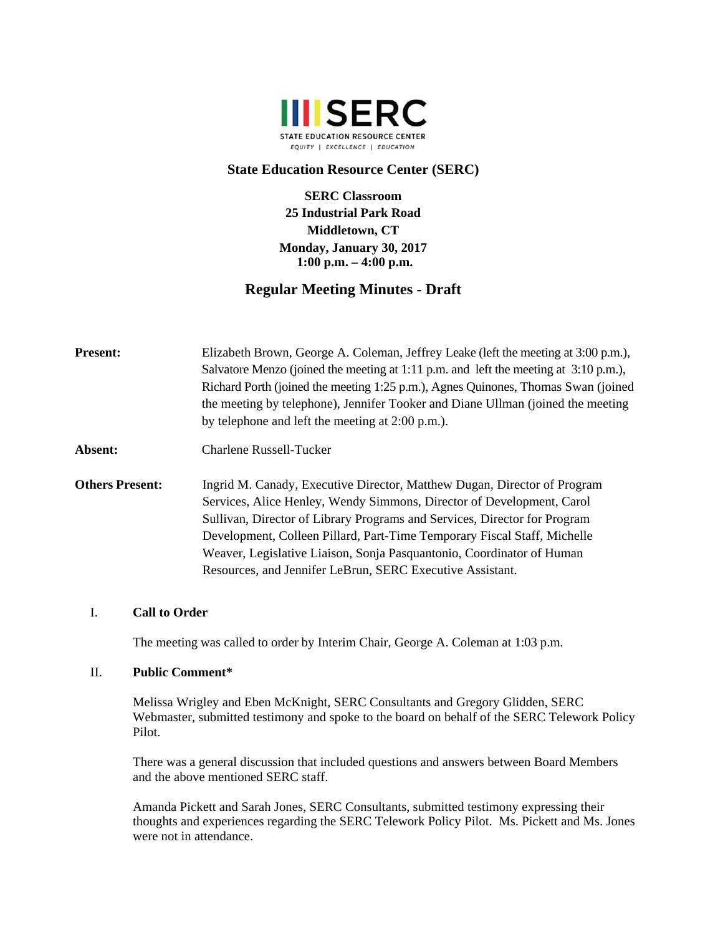

## **State Education Resource Center (SERC)**

**SERC Classroom 25 Industrial Park Road Middletown, CT Monday, January 30, 2017 1:00 p.m. – 4:00 p.m.** 

# **Regular Meeting Minutes - Draft**

**Present:** Elizabeth Brown, George A. Coleman, Jeffrey Leake (left the meeting at 3:00 p.m.), Salvatore Menzo (joined the meeting at 1:11 p.m. and left the meeting at 3:10 p.m.), Richard Porth (joined the meeting 1:25 p.m.), Agnes Quinones, Thomas Swan (joined the meeting by telephone), Jennifer Tooker and Diane Ullman (joined the meeting by telephone and left the meeting at 2:00 p.m.).

- **Absent:** Charlene Russell-Tucker
- **Others Present:** Ingrid M. Canady, Executive Director, Matthew Dugan, Director of Program Services, Alice Henley, Wendy Simmons, Director of Development, Carol Sullivan, Director of Library Programs and Services, Director for Program Development, Colleen Pillard, Part-Time Temporary Fiscal Staff, Michelle Weaver, Legislative Liaison, Sonja Pasquantonio, Coordinator of Human Resources, and Jennifer LeBrun, SERC Executive Assistant.

#### I. **Call to Order**

The meeting was called to order by Interim Chair, George A. Coleman at 1:03 p.m.

## II. **Public Comment\***

Melissa Wrigley and Eben McKnight, SERC Consultants and Gregory Glidden, SERC Webmaster, submitted testimony and spoke to the board on behalf of the SERC Telework Policy Pilot.

There was a general discussion that included questions and answers between Board Members and the above mentioned SERC staff.

Amanda Pickett and Sarah Jones, SERC Consultants, submitted testimony expressing their thoughts and experiences regarding the SERC Telework Policy Pilot. Ms. Pickett and Ms. Jones were not in attendance.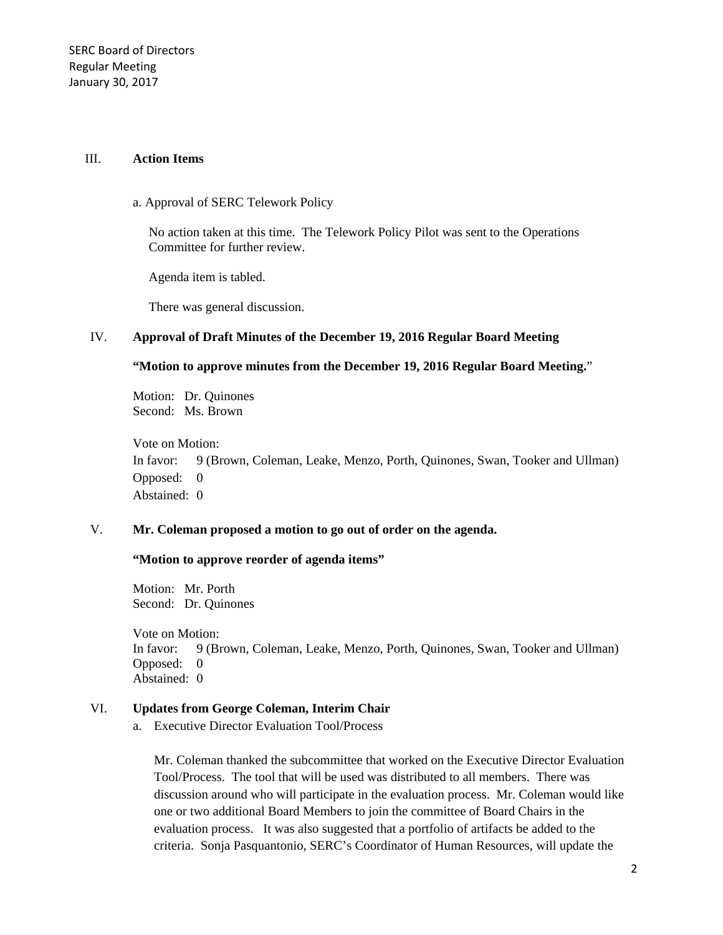#### III. **Action Items**

#### a. Approval of SERC Telework Policy

No action taken at this time. The Telework Policy Pilot was sent to the Operations Committee for further review.

Agenda item is tabled.

There was general discussion.

#### IV. **Approval of Draft Minutes of the December 19, 2016 Regular Board Meeting**

## **"Motion to approve minutes from the December 19, 2016 Regular Board Meeting.**"

Motion: Dr. Quinones Second: Ms. Brown

Vote on Motion: In favor: 9 (Brown, Coleman, Leake, Menzo, Porth, Quinones, Swan, Tooker and Ullman) Opposed: 0 Abstained: 0

# V. **Mr. Coleman proposed a motion to go out of order on the agenda.**

## **"Motion to approve reorder of agenda items"**

Motion: Mr. Porth Second: Dr. Quinones

Vote on Motion: In favor: 9 (Brown, Coleman, Leake, Menzo, Porth, Quinones, Swan, Tooker and Ullman) Opposed: 0 Abstained: 0

## VI. **Updates from George Coleman, Interim Chair**

a. Executive Director Evaluation Tool/Process

Mr. Coleman thanked the subcommittee that worked on the Executive Director Evaluation Tool/Process. The tool that will be used was distributed to all members. There was discussion around who will participate in the evaluation process. Mr. Coleman would like one or two additional Board Members to join the committee of Board Chairs in the evaluation process. It was also suggested that a portfolio of artifacts be added to the criteria. Sonja Pasquantonio, SERC's Coordinator of Human Resources, will update the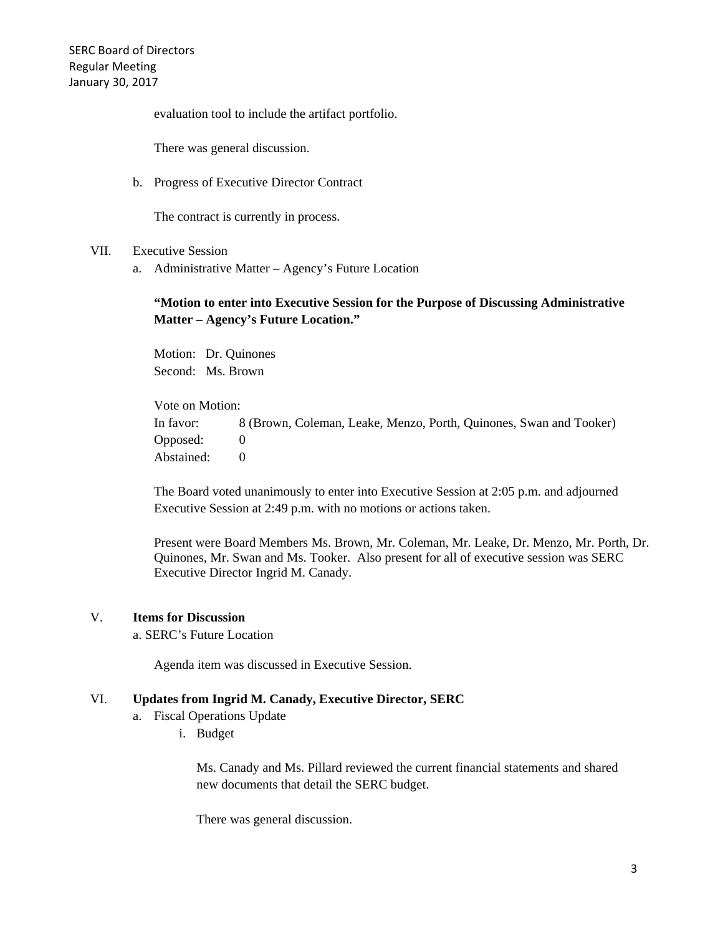evaluation tool to include the artifact portfolio.

There was general discussion.

b. Progress of Executive Director Contract

The contract is currently in process.

#### VII. Executive Session

a. Administrative Matter – Agency's Future Location

# **"Motion to enter into Executive Session for the Purpose of Discussing Administrative Matter – Agency's Future Location."**

Motion: Dr. Quinones Second: Ms. Brown

Vote on Motion: In favor: 8 (Brown, Coleman, Leake, Menzo, Porth, Quinones, Swan and Tooker) Opposed: 0 Abstained: 0

The Board voted unanimously to enter into Executive Session at 2:05 p.m. and adjourned Executive Session at 2:49 p.m. with no motions or actions taken.

Present were Board Members Ms. Brown, Mr. Coleman, Mr. Leake, Dr. Menzo, Mr. Porth, Dr. Quinones, Mr. Swan and Ms. Tooker. Also present for all of executive session was SERC Executive Director Ingrid M. Canady.

## V. **Items for Discussion**

a. SERC's Future Location

Agenda item was discussed in Executive Session.

#### VI. **Updates from Ingrid M. Canady, Executive Director, SERC**

- a. Fiscal Operations Update
	- i. Budget

Ms. Canady and Ms. Pillard reviewed the current financial statements and shared new documents that detail the SERC budget.

There was general discussion.